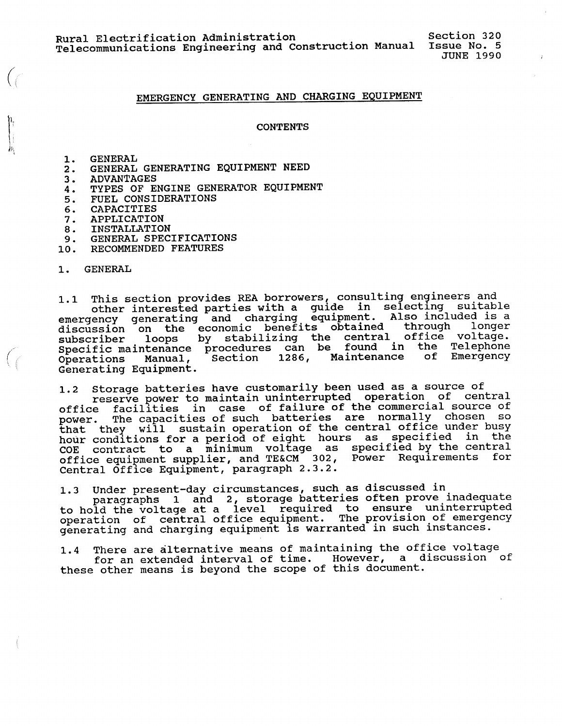Section 320 JUNE 1990

## **EMERGENCY GENERATING AND CHARGING EQUIPMENT**

**CONTENTS** 

1. GENERAL

*(* 

*(*   $\zeta$ 

- 2. GENERAL GENERATING EQUIPMENT NEED
- 3. **ADVANTAGES**
- 4. TYPES OF ENGINE GENERATOR EQUIPMENT
- 5. FUEL CONSIDERATIONS
- 6. CAPACITIES
- 7. APPLICATION
- 8. INSTALLATION
- 9. GENERAL SPECIFICATIONS
- 10. RECOMMENDED FEATURES

1. GENERAL

1.1 This section provides REA borrowers, consulting engineers and<br>other interested parties with a guide in selecting suitable<br>emergency generating and charging equipment. Also included is a discussion on the economic benefits obtained through longer<br>subscriber loops by stabilizing the central office voltage.<br>Specific maintenance procedures can be found in the Telephone<br>Operations Manual, Section 1286, Mainten Generating Equipment.

1.2 Storage batteries have customarily been used as a source of<br>reserve power to maintain uninterrupted operation of central<br>office facilities in case of failure of the commercial source of<br>power. The capacities of such ba COE contract to a minimum voltage as specified by the central office equipment supplier, and TE&CM 302, Power Requirements for Central Office Equipment, paragraph 2.3.2.

1.3 Under present-day circumstances, such as discussed in<br>paragraphs 1 and 2, storage batteries often prove inadequa<br>to hold the voltage at a level required to ensure uninterrupt operation of central office equipment. The provision of emergency generating and charging equipment is warranted in such instance

1.4 There are alternative means of maintaining the office voltage for an extended interval of time. However, a discussion of these other means is beyond the scope of this document.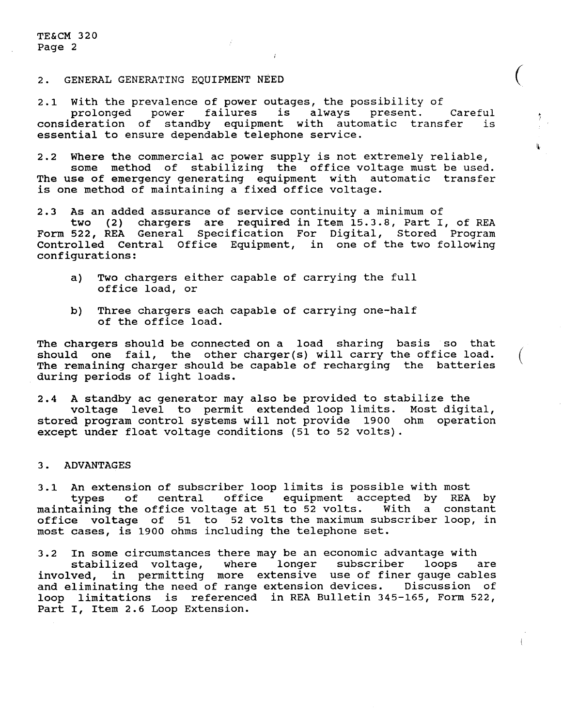#### 2. GENERAL GENERATING EQUIPMENT NEED

2.1 With the prevalence of power outages, the possibility of<br>prolonged power failures is always present. prolonged power failures is always present. Careful consideration of standby equipment with automatic transfer is essential to ensure dependable telephone service.

 $\big($ 

I.

2.2 Where the commercial ac power supply is not extremely reliable, some method of stabilizing the office voltage must be used. The use of emergency generating equipment with automatic transfer is one method of maintaining a fixed office voltage.

2.3 As an added assurance of service continuity a minimum of

two (2) chargers are required in Item 15.3.8, Part I, of REA Form 522, REA General Specification For Digital, Stored Program Controlled Central Office Equipment, in one of the two following configurations:

- a) Two chargers either capable of carrying the full office load, or
- b) Three chargers each capable of carrying one-half of the office load.

The chargers should be connected on a load sharing basis so that should one fail, the other charger(s) will carry the office load. The remaining charger should be capable of recharging the batteries during periods of light loads.

2.4 A standby ac generator may also be provided to stabilize the voltage level to permit extended loop limits. Most digital, stored program control systems will not provide 1900 ohm operation except under float voltage conditions (51 to 52 volts).

#### 3. **ADVANTAGES**

3.1 An extension of subscriber loop limits is possible with most types of central office equipment accepted by REA by maintaining the office voltage at 51 to 52 volts. With a constant office voltage of 51 to 52 volts the maximum subscriber loop, in most cases, is 1900 ohms including the telephone set.

3.2 In some circumstances there may be an economic advantage with stabilized voltage, where longer subscriber loops are involved, in permitting more extensive use of finer gauge cables and eliminating the need of range extension devices. Discussion of loop limitations is referenced in REA Bulletin 345-165, Form 522, Part I, Item 2.6 Loop Extension.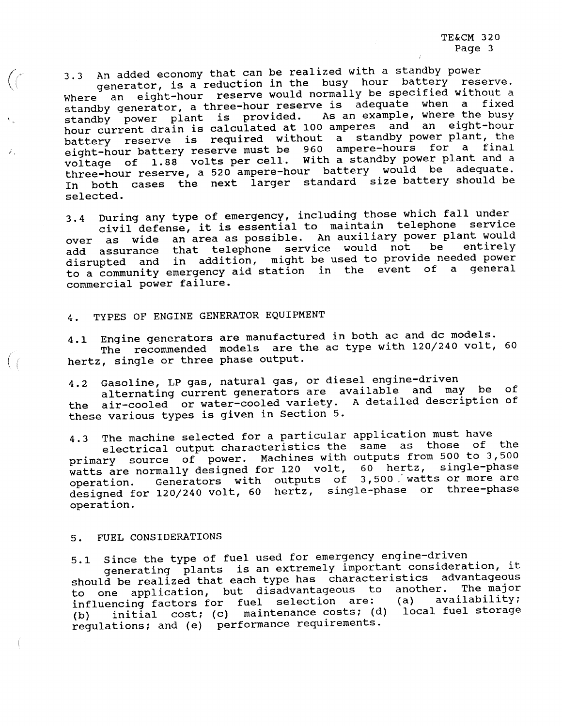3.3 An added economy that can be realized with a standby power generator, is a reduction in the busy hour battery reserve. Where an eight-hour reserve would normally be specified without a standby generator, a three-hour reserve is adequate when a fixed standby power plant is provided. As an example, where the busy hour current drain is calculated at 100 amperes and an eight-hour battery reserve is required without a standby power plant, the battery reserve is required to 960 ampere-hours for a finalisation of the end of the end of the state of the s eight-hour baccer, reserve manneell. With a standby power plant and a voltage of 1.88 volts per cell. With a standby power plant and a three-hour reserve, a 520 ampere-hour battery would be adequate. In both cases the next larger standard size battery should be selected.

3.4 During any type of emergency, including those which fall under<br>civil defense, it is essential to maintain telephone service<br>over as wide an area as possible. An auxiliary power plant would<br>le entirely add assurance that telephone service would not be disrupted and in addition, might be used to provide needed power to a community emergency aid station in the event of a general commercial power failure.

# 4. TYPES OF ENGINE GENERATOR EQUIPMENT

4.1 Engine generators are manufactured in both ac and dc models.<br>The recommended models are the ac type with 120/240 volt, 60<br>hertz, single or three phase output.

4.2 Gasoline, LP gas, natural gas, or diesel engine-driven<br>alternating current generators are available and may be of<br>the air-cooled or water-cooled variety. A detailed description of these various types is given in Section 5.

4.3 The machine selected for a particular application must have<br>electrical output characteristics the same as those of the<br>primary source of power. Machines with outputs from 500 to 3,500<br>watts are normally designed for 12 watts are normally designed for 120 volt, 60 hertz, single-phase<br>operation. Generators with outputs of 3,500 watts or more are nation. Generators with outputs of 3,500 watts or more are designed for 120/240 volt, 60 hertz, single-phase or three-pha operation.

#### 5. FUEL CONSIDERATIONS

 $\sqrt{2}$ 

; '

*(* 

5.1 Since the type of fuel used for emergency engine-driven generating plants is an extremely important consideration, it should be realized that each type has characteristics advantageous to one application, but disadvantageous to another. The major<br>influencing factors for fuel selection are: (a) availability; influencing factors for fuel selection are: (b) initial cost; (c) maintenance costs; (d) local fuel storage regulations; and (e) performance requirements.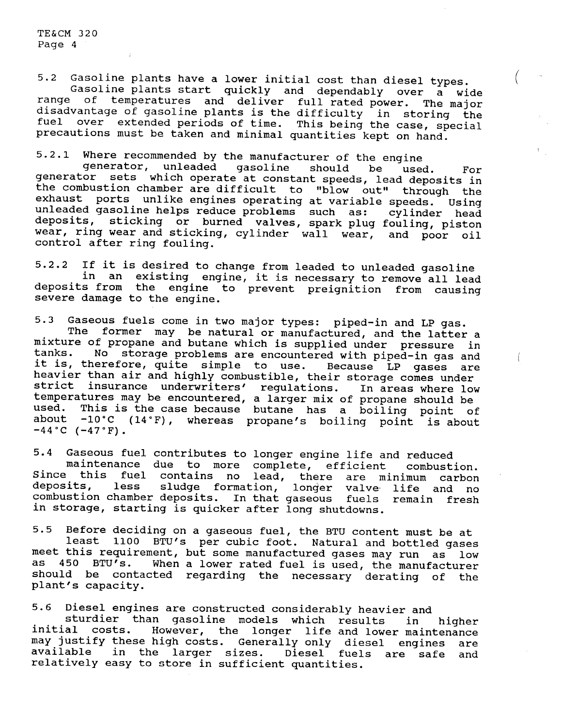5.2 Gasoline plants have a lower initial cost than diesel types.<br>Gasoline plants start quickly and dependably over a wide<br>range of temperatures and deliver full rated power. The major disadvantage of gasoline plants is the difficulty in storing the fuel over extended periods of time. This being the case, special precautions must be taken and minimal quantities kept on hand.

5.2.1 Where recommended by the manufacturer of the engine generator, unleaded gasoline should be used. For generator sets which operate at constant speeds, lead deposits in the combustion chamber are difficult to "blow out" through the<br>exhaust ports unlike engines operating at variable speeds. Using exhaust ports unlike engines operating at variable speeds. unleaded gasoline helps reduce problems such as: cylinder head deposits, sticking or burned valves, spark plug fouling, pisto wear, ring wear and sticking, cylinder wall wear, and poor oil control after ring fouling.

5.2.2 If it is desired to change from leaded to unleaded gasoline in an existing engine, it is necessary to remove all lead deposits from the engine to prevent preignition from causing severe damage to the engine.

5.3 Gaseous fuels come in two major types: piped-in and LP gas.<br>The former may be natural or manufactured, and the latter a<br>mixture of propane and butane which is supplied under pressure in<br>tanks. No storage problems are e No storage problems are encountered with piped-in gas and it is, therefore, quite simple to use. Because LP gases are heavier than air and highly combustible, their storage comes under<br>strict insurance underwriters' regulations. In areas where low strict insurance underwriters' regulations. In areas where low temperatures may be encountered, a larger mix of propane should be used. This is the case because butane has a boiling point of<br>about -10°C (14°F). whereas propane's boiling point is about about -1o·c (14°F), whereas propane's boiling point is about **-44°C (-47°F).** 

5.4 Gaseous fuel contributes to longer engine life and reduced<br>maintenance due to more complete, efficient combustion.<br>Since this fuel contains no lead, there are minimum carbon<br>deposits, less sludge formation, longer valv combustion chamber deposits. In that gaseous fuels remain fresh in storage, starting is quicker after long shutdowns.

5.5 Before deciding on a gaseous fuel, the BTU content must be at<br>least 1100 BTU's per cubic foot. Natural and bottled gases<br>meet this requirement, but some manufactured gases may run as low<br>as 450 BTU's. When a lower rate When a lower rated fuel is used, the manufacturer should be contacted regarding the necessary derating of the <sup>p</sup>lant's capacity.

5.6 Diesel engines are constructed considerably heavier and sturdier than gasoline models which results in higher initial costs. However, the longer life and lower maintenance may justify these high costs. Generally only diesel engines are available in the larger sizes. Diesel fuels are safe and relatively easy to store in sufficient quantities.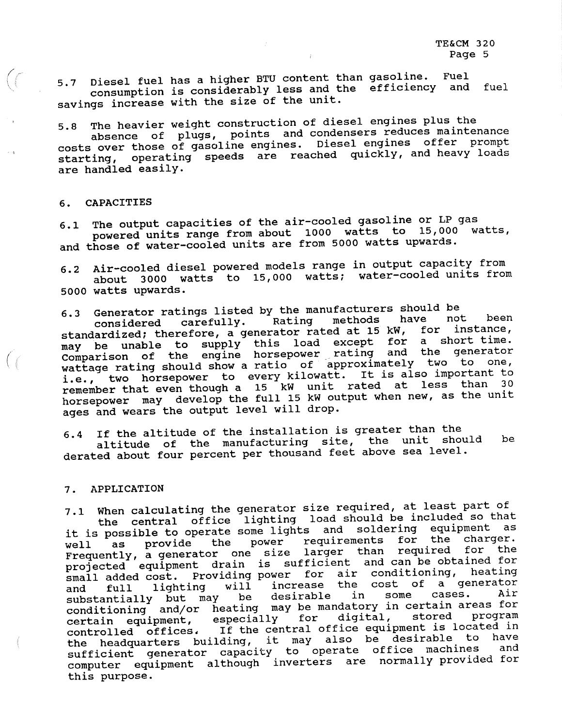5.7 Diesel fuel has a higher BTU content than gasoline.<br>consumption is considerably less and the efficien<br>savings increase with the size of the unit. Diesel fuel has a higher BTU content than gasoline. Fuel and fuel

5.8 The heavier weight construction of diesel engines plus the costs over those of gasoline engines. Diesel engines offer prompt starting, operating speeds are reached quickly, and heavy loads are handled easily.

### 6. **CAPACITIES**

*(* 

6.1 The output capacities of the air-cooled gasoline or LP gas<br>powered units range from about 1000 watts to 15,000 watts,<br>and those of water-cooled units are from 5000 watts upwards.

6.2 Air-cooled diesel powered models range in output capacity from about 3000 watts to 15,000 watts; water-cooled units from 5000 watts upwards.

6.3 Generator ratings listed by the manufacturers should be<br>considered carefully. Rating methods have not been<br>standardized; therefore, a generator rated at 15 kW, for instance, standardized, encrease, it is load except for a short time. may be dhabit to the engine horsepower rating and the generator<br>Comparison of the engine horsepower rating and the generator<br>wattage rating should show a ratio of approximately two to one, i.e., two horsepower to every kilowatt. It is also important to remember that even though a 15 kW unit rated at less than 30 horsepower may develop the full 15 kW output when new, as the unit ages and wears the output level will drop.

6.4 If the altitude of the installation is greater than the altitude of the manufacturing site, the unit should be derated about four percent per thousand feet above sea level.

#### 7. **APPLICATION**

7.1 When calculating the generator size required, at least part of<br>the central office lighting load should be included so that<br>it is possible to operate some lights and soldering equipment as<br>well as provide the power requ It is possible to operate commonly requirements for the charge weil as provide one size larger than required for the prequently, a generator one size larger than required for the<br>projected equipment drain is sufficient and can be obtained for small added cost. Providing power for air conditioning, heating and full lighting will increase the cost of a generator<br>substantially but may be desirable in some cases. Air and fuil fighting will investigable in some cases. Air substantially but may be mandatory in certain areas for certain equipment, especially for digital, stored program<br>controlled offices. If the central office equipment is located in the headquarters building, it may also be desirable to have sufficient generator capacity to operate office machines computer equipment although inverters are normally provided for this purpose.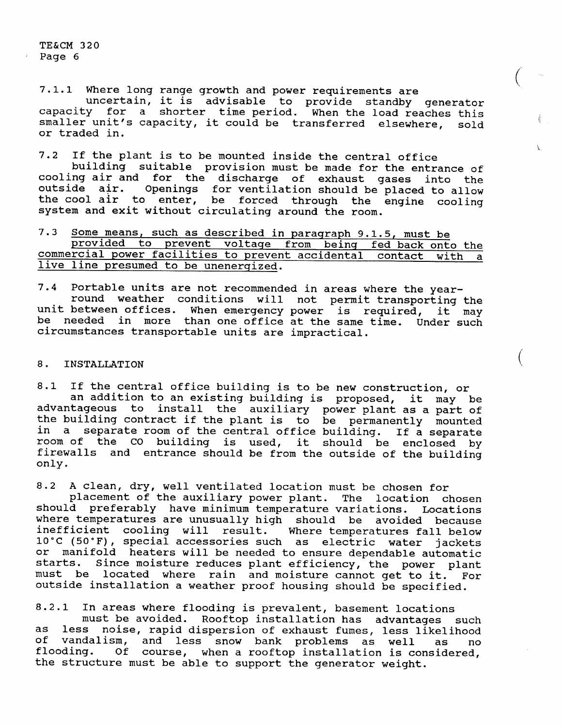7.1.1 Where long range growth and power requirements are uncertain, it is advisable to provide standby generator capacity for a shorter time period. When the load reaches this smaller unit's capacity, it could be transferred elsewhere, sold or traded in.

*(* 

A.

 $\left(\begin{array}{c} 1 \end{array}\right)$ 

7.2 If the plant is to be mounted inside the central office<br>building suitable provision must be made for the entrance of<br>cooling air and for the discharge of exhaust gases into the<br>outside air. Openings for ventilation sho the cool air to enter, be forced through the engine cooling system and exit without circulating around the room.

|  |                                       |  |  |  |  | 7.3 Some means, such as described in paragraph 9.1.5, must be    |  |  |
|--|---------------------------------------|--|--|--|--|------------------------------------------------------------------|--|--|
|  |                                       |  |  |  |  | provided to prevent voltage from being fed back onto the         |  |  |
|  |                                       |  |  |  |  | commercial power facilities to prevent accidental contact with a |  |  |
|  | live line presumed to be unenergized. |  |  |  |  |                                                                  |  |  |

7.4 Portable units are not recommended in areas where the year- round weather conditions will not permit transporting the unit between offices. When emergency power is required, it may be needed in more than one office at the same time. Under such circumstances transportable units are impractical.

### 8. **INSTALLATION**

8.1 If the central office building is to be new construction, or an addition to an existing building is proposed, it may be advantageous to install the auxiliary power plant as a part of the building contract if the plant is to be permanently mounted in a separate room of the central office building. If a separate room of the co building is used, it should be enclosed by firewalls and entrance should be from the outside of the building only.

8.2 A clean, dry, well ventilated location must be chosen for<br>placement of the auxiliary power plant. The location chosen<br>should preferably have minimum temperature variations. Location: where temperatures are unusually high should be avoided becaus inefficient cooling will result. Where temperatures fall below 1o·c (50°F), special accessories such as electric water jackets or manifold heaters will be needed to ensure dependable automatic starts. Since moisture reduces plant efficiency, the power plan must be located where rain and moisture cannot get to it. For outside installation a weather proof housing should be specified.

8.2.1 In areas where flooding is prevalent, basement locations<br>must be avoided. Rooftop installation has advantages such<br>as less noise, rapid dispersion of exhaust fumes, less likelihood of vandalism, and less snow bank problems as well as no<br>flooding. Of course, when a rooftop installation is considered. Of course, when a rooftop installation is considered. the structure must be able to support the generator weight.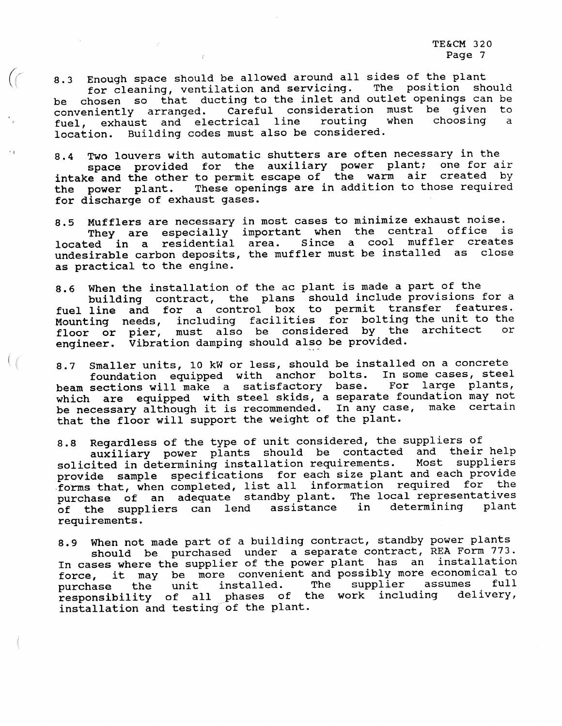8.3 Enough space should be allowed around all sides of the plant<br>for cleaning, ventilation and servicing. The position should<br>be chosen so that ducting to the inlet and outlet openings can be<br>conveniently arranged. Careful location. Building codes must also be considered.

 $\left(\left(\begin{array}{c}\right)\\ \left(1\right)\\ \left(1\right)\\ \left(1\right)\\ \left(1\right)\\ \left(1\right)\\ \left(1\right)\\ \left(1\right)\\ \left(1\right)\\ \left(1\right)\\ \left(1\right)\\ \left(1\right)\\ \left(1\right)\\ \left(1\right)\\ \left(1\right)\\ \left(1\right)\\ \left(1\right)\\ \left(1\right)\\ \left(1\right)\\ \left(1\right)\\ \left(1\right)\\ \left(1\right)\\ \left(1\right)\\ \left(1\right)\\ \left(1\right)\\ \left(1\right)\\ \left(1\right$ 

8.4 Two louvers with automatic shutters are often necessary in the space provided for the auxiliary power plant; one for air intake and the other to permit escape of the warm air created by the power plant. These openings for discharge of exhaust gases.

8.5 Mufflers are necessary in most cases to minimize exhaust noise.<br>They are especially important when the central office is<br>located in a residential area. Since a cool muffler creates<br>undesirable carbon deposits, the muff as practical to the engine.

8.6 When the installation of the ac plant is made a part of the<br>building contract, the plans should include provisions for a<br>fuel line and for a control box to permit transfer features.<br>Mounting needs, including facilities engineer. Vibration damping should also be provided.

8.7 Smaller units, 10 kW or less, should be installed on a concrete<br>foundation equipped with anchor bolts. In some cases, steel<br>beam sections will make a satisfactory base. For large plants,<br>which are equipped with steel s that the floor will support the weight of the plant.

8.8 Regardless of the type of unit considered, the suppliers of auxiliary power plants should be contacted and their help solicited in determining installation requirements. Most suppliers provide sample specifications for each size plant and each provide<br>forms that, when completed, list all information required for the purchase of an adequate standby plant. The local representatives<br>of the suppliers can lend assistance in determining plant of the suppliers can lend requirements.

8.9 When not made part of a building contract, standby power plants<br>should be purchased under a separate contract, REA Form 773.<br>In cases where the supplier of the power plant has an installation<br>force, it may be more conv installation and testing of the plant.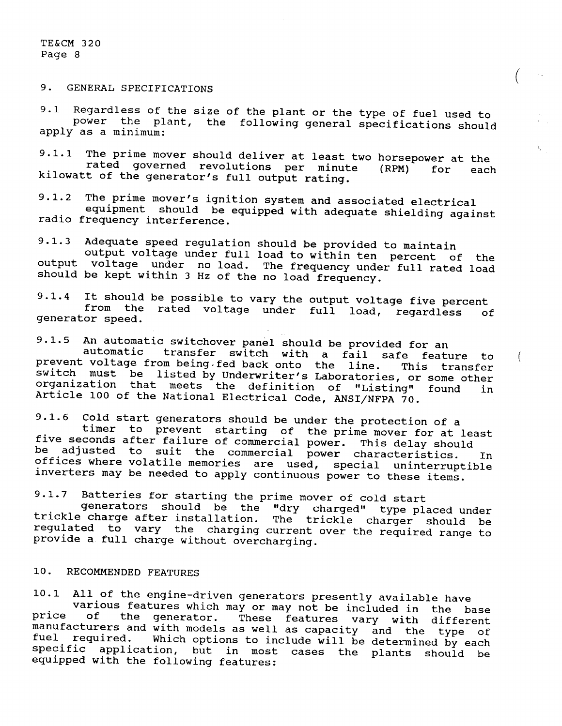9. GENERAL SPECIFICATIONS

9.1 Regardless of the size of the plant or the type of fuel used to power the plant, the following general specifications should apply as a minimum:

 $\left( \begin{array}{c} 1 \ 1 \end{array} \right)$ 

 $\left($ 

9.1.1 The prime mover should deliver at least two horsepower at the rated governed revolutions per minute (RPM) for each kilowatt of the generator's full output rating.

9.1.2 The prime mover's ignition system and associated electrical equipment should be equipped with adequate shielding against radio frequency interference.

9.1.3 Adequate speed regulation should be provided to maintain output voltage under no load. The frequency under full rated load should be kept within 3 Hz of the no load frequency.

9.1.4 It should be possible to vary the output voltage five percent from the rated voltage under full load, regardless of generator speed.

9.1.5 An automatic switchover panel should be provided for an automatic transfer switch with a fail safe feature to prevent voltage from being.fed back onto the line. This transfer switch must be listed by Underwriter's Laboratories, or some other organization that meets the definition of "Listing" found in Article 100 of the National Electrical Code, ANSI/NFPA 70.

9.1.6 Cold start generators should be under the protection of a<br>timer to prevent starting of the prime mover for at least<br>five seconds after failure of commercial power. This delay should<br>be adjusted to suit the commercial be adjusted to suit the commercial power characteristics. In offices where volatile memories are used, special uninterruptible inverters may be needed to apply continuous power to these items.

9.1.7 Batteries for starting the prime mover of cold start

generators should be the "dry charged" type placed under trickle charge after installation. The trickle charger should be regulated to vary the charging current over the required range to provide a full charge without overcharging.

## 10. RECOMMENDED FEATURES

10.1 All of the engine-driven generators presently available have price of the generator. These features vary with different manufacturers and with models as well as capacity and the type of<br>fuel required. Which ontions to include will be determined in required. Which options to include will be determined by each specific application, but in most cases the plants should be equipped with the following features: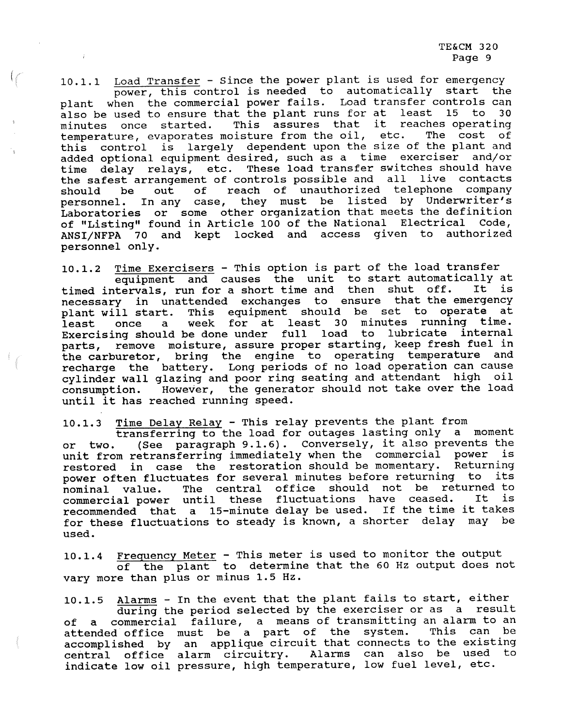10.1.1 <u>Load Transfer</u> - Since the power plant is used for emergency power, this control is needed to automatically start the plant when the commercial power fails. Load transfer controls can also be used to ensure that th also be used to ensure that the plant runs for at least 15 minutes once started. This assures that it reaches operating temperature, evaporates moisture from the oil, etc. The cost of this control is largely dependent upon the size of the plant and<br>added optional equipment desired, such as a time exerciser and/or added optional equipment desired, such as a time exerciser time delay relays, etc. These load transfer switches should have the safest arrangement of controls possible and all live contacts<br>should be out of reach of unauthorized telephone company should be out of reach of unauthorized telephone company personnel. In any case, they must be listed by Underwriter's Laboratories or some other organization that meets the definition of "Listing" found in Article 100 of the National Electrical Code, ANSI/NFPA 70 and kept locked and access given to authorized personnel only.

 $1/2$ 

10.1.2 Time Exercisers - This option is part of the load transfer equipment and causes the unit to start automatically at timed intervals, run for a short time and then shut off. It is necessary in unattended exchanges to ensure that the emergency <sup>p</sup>lant will start. This equipment should be set to operate at least once a week for at least 30 minutes running time. Exercising should be done under full load to lubricate internal parts, remove moisture, assure proper starting, keep fresh fuel in the carburetor, bring the engine to operating temperature and recharge the battery. Long periods of no load operation can cause cylinder wall glazing and poor ring seating and attendant high oil consumption. However, the generator should not take over the load until it has reached running speed.

10.1.3 Time Delay Relay - This relay prevents the plant from<br>transferring to the load for outages lasting only a moment<br>or two. (See paragraph 9.1.6). Conversely, it also prevents the unit from retransferring immediately when the commercial power is restored in case the restoration should be momentary. Returning power often fluctuates for several minutes before returning to its nominal value. The central office should not be returned to commercial power until these fluctuations have ceased. It is recommended that a 15-minute delay be used. If the time it takes for these fluctuations to steady is known, a shorter delay may be used.

10.1.4 Frequency Meter - This meter is used to monitor the output<br>of the plant to determine that the 60 Hz output does not vary more than plus or minus 1.5 Hz.

10.1.5 Alarms - In the event that the plant fails to start, either<br>during the period selected by the exerciser or as a result<br>of a commercial failure, a means of transmitting an alarm to an<br>attended office must be a part o attended office must be a part of the system. accomplished by an applique circuit that connects to the existing central office alarm circuitry. Alarms can also be used to indicate low oil pressure, high temperature, low fuel level, etc.